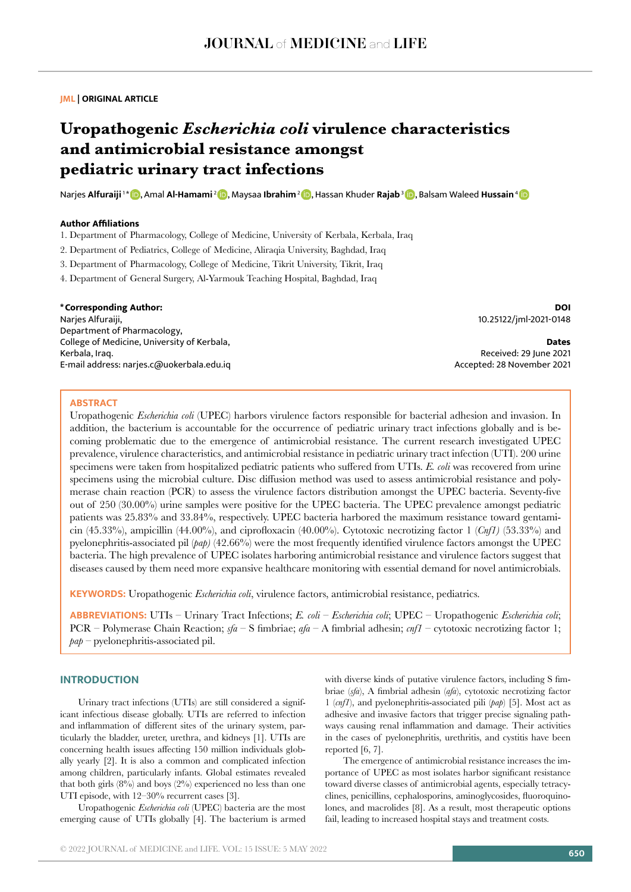## **JML | ORIGINAL ARTICLE**

# **Uropathogenic** *Escherichia coli* **virulence characteristics and antimicrobial resistance amongst pediatric urinary tract infections**

Narjes Alfuraiji <sup>1 \*</sup> **D**, Amal Al-Hamami <sup>2</sup> D</sup>, Maysaa Ibrahim <sup>2</sup> D, Hassan Khuder Rajab <sup>3</sup> D, Balsam Waleed Hussain <sup>[4](https://orcid.org/0000-0003-4394-5517)</sup> D

## **Author Affiliations**

1. Department of Pharmacology, College of Medicine, University of Kerbala, Kerbala, Iraq

2. Department of Pediatrics, College of Medicine, Aliraqia University, Baghdad, Iraq

3. Department of Pharmacology, College of Medicine, Tikrit University, Tikrit, Iraq

4. Department of General Surgery, Al-Yarmouk Teaching Hospital, Baghdad, Iraq

#### **\*Corresponding Author:**

Narjes Alfuraiji, Department of Pharmacology, College of Medicine, University of Kerbala, Kerbala, Iraq. E-mail address: narjes.c@uokerbala.edu.iq

**DOI** 10.25122/jml-2021-0148

**Dates** Received: 29 June 2021 Accepted: 28 November 2021

#### **ABSTRACT**

Uropathogenic *Escherichia coli* (UPEC) harbors virulence factors responsible for bacterial adhesion and invasion. In addition, the bacterium is accountable for the occurrence of pediatric urinary tract infections globally and is becoming problematic due to the emergence of antimicrobial resistance. The current research investigated UPEC prevalence, virulence characteristics, and antimicrobial resistance in pediatric urinary tract infection (UTI). 200 urine specimens were taken from hospitalized pediatric patients who suffered from UTIs. *E. coli* was recovered from urine specimens using the microbial culture. Disc diffusion method was used to assess antimicrobial resistance and polymerase chain reaction (PCR) to assess the virulence factors distribution amongst the UPEC bacteria. Seventy-five out of 250 (30.00%) urine samples were positive for the UPEC bacteria. The UPEC prevalence amongst pediatric patients was 25.83% and 33.84%, respectively. UPEC bacteria harbored the maximum resistance toward gentamicin (45.33%), ampicillin (44.00%), and ciprofloxacin (40.00%). Cytotoxic necrotizing factor 1 (*Cnf1)* (53.33%) and pyelonephritis-associated pil (*pap)* (42.66%) were the most frequently identified virulence factors amongst the UPEC bacteria. The high prevalence of UPEC isolates harboring antimicrobial resistance and virulence factors suggest that diseases caused by them need more expansive healthcare monitoring with essential demand for novel antimicrobials.

**KEYWORDS:** Uropathogenic *Escherichia coli*, virulence factors, antimicrobial resistance, pediatrics.

**ABBREVIATIONS:** UTIs – Urinary Tract Infections; *E. coli* – *Escherichia coli*; UPEC – Uropathogenic *Escherichia coli*; PCR – Polymerase Chain Reaction; *sfa* – S fimbriae; *afa* – A fimbrial adhesin; *cnf1* – cytotoxic necrotizing factor 1; *pap* – pyelonephritis-associated pil.

## **INTRODUCTION**

Urinary tract infections (UTIs) are still considered a significant infectious disease globally. UTIs are referred to infection and inflammation of different sites of the urinary system, particularly the bladder, ureter, urethra, and kidneys [1]. UTIs are concerning health issues affecting 150 million individuals globally yearly [2]. It is also a common and complicated infection among children, particularly infants. Global estimates revealed that both girls  $(8\%)$  and boys  $(2\%)$  experienced no less than one UTI episode, with 12–30% recurrent cases [3].

Uropathogenic *Escherichia coli* (UPEC) bacteria are the most emerging cause of UTIs globally [4]. The bacterium is armed with diverse kinds of putative virulence factors, including S fimbriae (*sfa*), A fimbrial adhesin (*afa*), cytotoxic necrotizing factor 1 (*cnf1*), and pyelonephritis-associated pili (*pap*) [5]. Most act as adhesive and invasive factors that trigger precise signaling pathways causing renal inflammation and damage. Their activities in the cases of pyelonephritis, urethritis, and cystitis have been reported [6, 7].

The emergence of antimicrobial resistance increases the importance of UPEC as most isolates harbor significant resistance toward diverse classes of antimicrobial agents, especially tetracyclines, penicillins, cephalosporins, aminoglycosides, fluoroquinolones, and macrolides [8]. As a result, most therapeutic options fail, leading to increased hospital stays and treatment costs.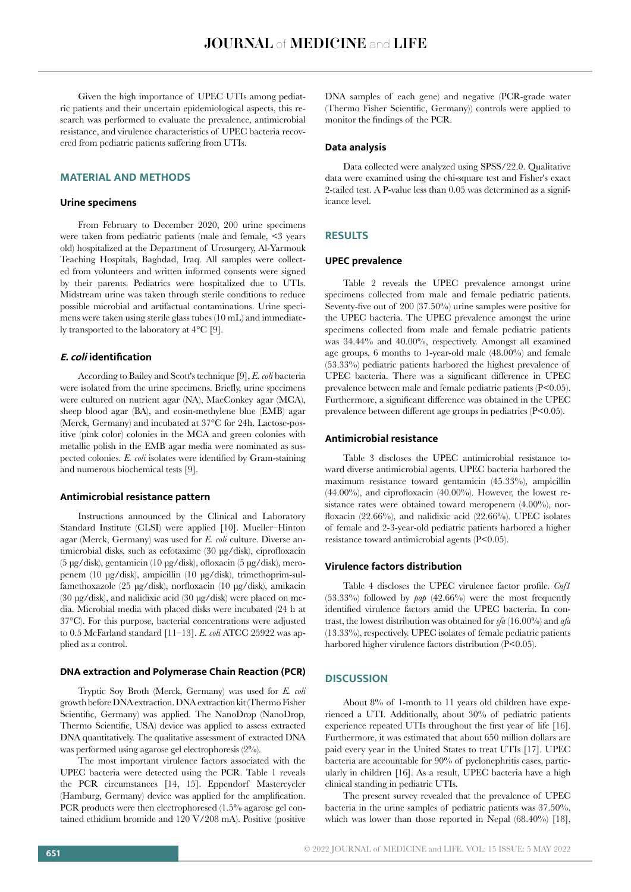Given the high importance of UPEC UTIs among pediatric patients and their uncertain epidemiological aspects, this research was performed to evaluate the prevalence, antimicrobial resistance, and virulence characteristics of UPEC bacteria recovered from pediatric patients suffering from UTIs.

# **MATERIAL AND METHODS**

#### **Urine specimens**

From February to December 2020, 200 urine specimens were taken from pediatric patients (male and female, <3 years old) hospitalized at the Department of Urosurgery, Al-Yarmouk Teaching Hospitals, Baghdad, Iraq. All samples were collected from volunteers and written informed consents were signed by their parents. Pediatrics were hospitalized due to UTIs. Midstream urine was taken through sterile conditions to reduce possible microbial and artifactual contaminations. Urine specimens were taken using sterile glass tubes (10 mL) and immediately transported to the laboratory at 4°C [9].

## **E. coli identification**

According to Bailey and Scott's technique [9], *E. coli* bacteria were isolated from the urine specimens. Briefly, urine specimens were cultured on nutrient agar (NA), MacConkey agar (MCA), sheep blood agar (BA), and eosin-methylene blue (EMB) agar (Merck, Germany) and incubated at 37°C for 24h. Lactose-positive (pink color) colonies in the MCA and green colonies with metallic polish in the EMB agar media were nominated as suspected colonies. *E. coli* isolates were identified by Gram-staining and numerous biochemical tests [9].

#### **Antimicrobial resistance pattern**

Instructions announced by the Clinical and Laboratory Standard Institute (CLSI) were applied [10]. Mueller–Hinton agar (Merck, Germany) was used for *E. coli* culture. Diverse antimicrobial disks, such as cefotaxime (30 μg/disk), ciprofloxacin (5 μg/disk), gentamicin (10 μg/disk), ofloxacin (5 μg/disk), meropenem (10 μg/disk), ampicillin (10 μg/disk), trimethoprim-sulfamethoxazole (25 μg/disk), norfloxacin (10 μg/disk), amikacin (30 μg/disk), and nalidixic acid (30 μg/disk) were placed on media. Microbial media with placed disks were incubated (24 h at 37°C). For this purpose, bacterial concentrations were adjusted to 0.5 McFarland standard [11–13]. *E. coli* ATCC 25922 was applied as a control.

# **DNA extraction and Polymerase Chain Reaction (PCR)**

Tryptic Soy Broth (Merck, Germany) was used for *E. coli* growth before DNA extraction. DNA extraction kit (Thermo Fisher Scientific, Germany) was applied. The NanoDrop (NanoDrop, Thermo Scientific, USA) device was applied to assess extracted DNA quantitatively. The qualitative assessment of extracted DNA was performed using agarose gel electrophoresis (2%).

The most important virulence factors associated with the UPEC bacteria were detected using the PCR. Table 1 reveals the PCR circumstances [14, 15]. Eppendorf Mastercycler (Hamburg, Germany) device was applied for the amplification. PCR products were then electrophoresed (1.5% agarose gel contained ethidium bromide and 120 V/208 mA). Positive (positive DNA samples of each gene) and negative (PCR-grade water (Thermo Fisher Scientific, Germany)) controls were applied to monitor the findings of the PCR.

#### **Data analysis**

Data collected were analyzed using SPSS/22.0. Qualitative data were examined using the chi-square test and Fisher's exact 2-tailed test. A P-value less than 0.05 was determined as a significance level.

# **RESULTS**

## **UPEC prevalence**

Table 2 reveals the UPEC prevalence amongst urine specimens collected from male and female pediatric patients. Seventy-five out of 200 (37.50%) urine samples were positive for the UPEC bacteria. The UPEC prevalence amongst the urine specimens collected from male and female pediatric patients was 34.44% and 40.00%, respectively. Amongst all examined age groups, 6 months to 1-year-old male (48.00%) and female (53.33%) pediatric patients harbored the highest prevalence of UPEC bacteria. There was a significant difference in UPEC prevalence between male and female pediatric patients (P<0.05). Furthermore, a significant difference was obtained in the UPEC prevalence between different age groups in pediatrics (P<0.05).

#### **Antimicrobial resistance**

Table 3 discloses the UPEC antimicrobial resistance toward diverse antimicrobial agents. UPEC bacteria harbored the maximum resistance toward gentamicin (45.33%), ampicillin  $(44.00\%)$ , and ciprofloxacin  $(40.00\%)$ . However, the lowest resistance rates were obtained toward meropenem (4.00%), norfloxacin (22.66%), and nalidixic acid (22.66%). UPEC isolates of female and 2-3-year-old pediatric patients harbored a higher resistance toward antimicrobial agents (P<0.05).

#### **Virulence factors distribution**

Table 4 discloses the UPEC virulence factor profile. *Cnf1* (53.33%) followed by *pap* (42.66%) were the most frequently identified virulence factors amid the UPEC bacteria. In contrast, the lowest distribution was obtained for *sfa* (16.00%) and *afa* (13.33%), respectively. UPEC isolates of female pediatric patients harbored higher virulence factors distribution (P<0.05).

# **DISCUSSION**

About 8% of 1-month to 11 years old children have experienced a UTI. Additionally, about 30% of pediatric patients experience repeated UTIs throughout the first year of life [16]. Furthermore, it was estimated that about 650 million dollars are paid every year in the United States to treat UTIs [17]. UPEC bacteria are accountable for 90% of pyelonephritis cases, particularly in children [16]. As a result, UPEC bacteria have a high clinical standing in pediatric UTIs.

The present survey revealed that the prevalence of UPEC bacteria in the urine samples of pediatric patients was 37.50%, which was lower than those reported in Nepal (68.40%) [18],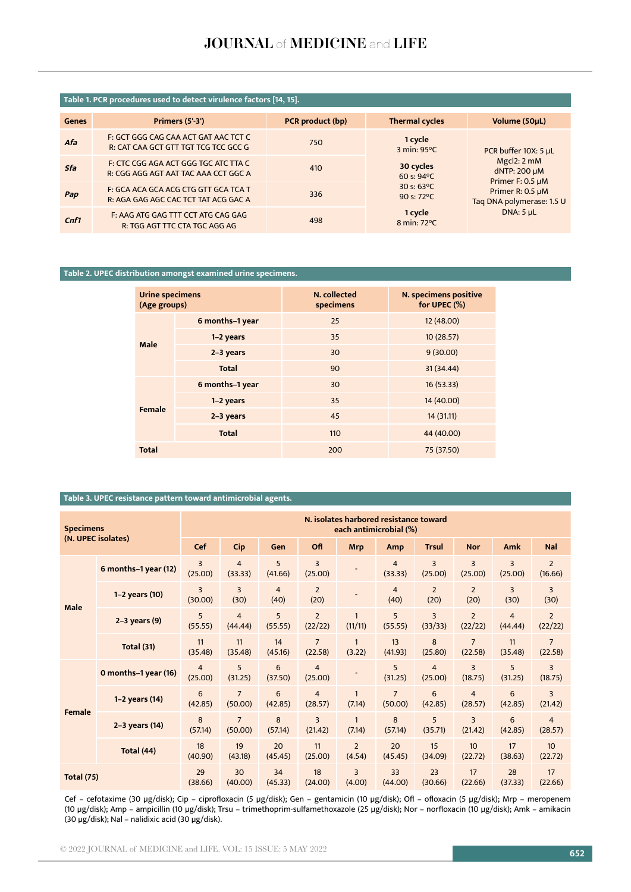# JOURNAL of MEDICINE and LIFE

# **Table 1. PCR procedures used to detect virulence factors [14, 15].**

| <b>Genes</b> | Primers (5'3')                                                               | PCR product (bp) | <b>Thermal cycles</b>                        | Volume (50uL)                                                                       |  |  |
|--------------|------------------------------------------------------------------------------|------------------|----------------------------------------------|-------------------------------------------------------------------------------------|--|--|
| Afa          | F: GCT GGG CAG CAA ACT GAT AAC TCT C<br>R: CAT CAA GCT GTT TGT TCG TCC GCC G | 750              | 1 cycle<br>3 min: 95°C                       | PCR buffer 10X: 5 µL<br>Mgcl <sub>2</sub> : 2 mM<br>dNTP: 200 µM                    |  |  |
| Sfa          | F: CTC CGG AGA ACT GGG TGC ATC TTA C<br>R: CGG AGG AGT AAT TAC AAA CCT GGC A | 410              | 30 cycles<br>60 s: $94^{\circ}$ C            |                                                                                     |  |  |
| Pap          | F: GCA ACA GCA ACG CTG GTT GCA TCA T<br>R: AGA GAG AGC CAC TCT TAT ACG GAC A | 336              | 30 s: $63^{\circ}$ C<br>90 s: $72^{\circ}$ C | Primer F: 0.5 µM<br>Primer R: 0.5 µM<br>Taq DNA polymerase: 1.5 U<br>DNA: $5 \mu L$ |  |  |
| Cnf1         | F: AAG ATG GAG TTT CCT ATG CAG GAG<br>R: TGG AGT TTC CTA TGC AGG AG          | 498              | 1 cycle<br>8 min: 72°C                       |                                                                                     |  |  |

# **Table 2. UPEC distribution amongst examined urine specimens.**

| <b>Urine specimens</b><br>(Age groups) |                 | N. collected<br>specimens | N. specimens positive<br>for UPEC (%) |  |
|----------------------------------------|-----------------|---------------------------|---------------------------------------|--|
| <b>Male</b>                            | 6 months-1 year | 25                        | 12 (48.00)                            |  |
|                                        | 1-2 years       | 35                        | 10(28.57)                             |  |
|                                        | 2-3 years       | 30                        | 9(30.00)                              |  |
|                                        | <b>Total</b>    | 90                        | 31 (34.44)                            |  |
|                                        | 6 months-1 year | 30                        | 16(53.33)                             |  |
|                                        | 1-2 years       | 35                        | 14 (40.00)                            |  |
| Female                                 | 2-3 years       | 45                        | 14(31.11)                             |  |
|                                        | <b>Total</b>    | 110                       | 44 (40.00)                            |  |
| <b>Total</b>                           |                 | 200                       | 75 (37.50)                            |  |

# **Table 3. UPEC resistance pattern toward antimicrobial agents.**

| <b>Specimens</b><br>(N. UPEC isolates) |                      | N. isolates harbored resistance toward<br>each antimicrobial (%) |                           |                        |                           |                          |                           |                           |                                    |                           |                           |
|----------------------------------------|----------------------|------------------------------------------------------------------|---------------------------|------------------------|---------------------------|--------------------------|---------------------------|---------------------------|------------------------------------|---------------------------|---------------------------|
|                                        |                      | Cef                                                              | Cip                       | Gen                    | Ofl                       | <b>Mrp</b>               | <b>Amp</b>                | <b>Trsul</b>              | <b>Nor</b>                         | Amk                       | <b>Nal</b>                |
| Male                                   | 6 months-1 year (12) | 3<br>(25.00)                                                     | $\overline{4}$<br>(33.33) | 5<br>(41.66)           | 3<br>(25.00)              |                          | $\overline{4}$<br>(33.33) | 3<br>(25.00)              | $\overline{3}$<br>(25.00)          | 3<br>(25.00)              | $\overline{2}$<br>(16.66) |
|                                        | 1-2 years (10)       | 3<br>(30.00)                                                     | 3<br>(30)                 | $\overline{4}$<br>(40) | $\overline{2}$<br>(20)    |                          | $\overline{4}$<br>(40)    | $\overline{2}$<br>(20)    | $\overline{2}$<br>(20)             | 3<br>(30)                 | 3<br>(30)                 |
|                                        | $2-3$ years $(9)$    | 5<br>(55.55)                                                     | $\overline{4}$<br>(44.44) | 5<br>(55.55)           | $\overline{2}$<br>(22/22) | 1<br>(11/11)             | 5<br>(55.55)              | $\overline{3}$<br>(33/33) | $\overline{2}$<br>(22/22)          | $\overline{4}$<br>(44.44) | $\overline{2}$<br>(22/22) |
|                                        | <b>Total (31)</b>    | 11<br>(35.48)                                                    | 11<br>(35.48)             | 14<br>(45.16)          | $\overline{7}$<br>(22.58) | $\mathbf{1}$<br>(3.22)   | 13<br>(41.93)             | 8<br>(25.80)              | $\overline{7}$<br>(22.58)          | 11<br>(35.48)             | $\overline{7}$<br>(22.58) |
| Female                                 | 0 months-1 year (16) | $\overline{4}$<br>(25.00)                                        | 5<br>(31.25)              | 6<br>(37.50)           | $\overline{4}$<br>(25.00) |                          | 5<br>(31.25)              | $\overline{4}$<br>(25.00) | $\overline{3}$<br>(18.75)          | 5<br>(31.25)              | $\overline{3}$<br>(18.75) |
|                                        | 1-2 years (14)       | 6<br>(42.85)                                                     | $\overline{7}$<br>(50.00) | 6<br>(42.85)           | $\overline{4}$<br>(28.57) | $\mathbf{1}$<br>(7.14)   | $\overline{7}$<br>(50.00) | 6<br>(42.85)              | $\overline{4}$<br>(28.57)          | 6<br>(42.85)              | $\overline{3}$<br>(21.42) |
|                                        | 2-3 years (14)       | 8<br>(57.14)                                                     | $\overline{7}$<br>(50.00) | 8<br>(57.14)           | $\overline{3}$<br>(21.42) | 1<br>(7.14)              | 8<br>(57.14)              | 5<br>(35.71)              | $\overline{\mathbf{3}}$<br>(21.42) | 6<br>(42.85)              | $\overline{4}$<br>(28.57) |
|                                        | <b>Total (44)</b>    | 18<br>(40.90)                                                    | 19<br>(43.18)             | 20<br>(45.45)          | 11<br>(25.00)             | $\overline{2}$<br>(4.54) | 20<br>(45.45)             | 15<br>(34.09)             | 10 <sup>10</sup><br>(22.72)        | 17<br>(38.63)             | 10<br>(22.72)             |
| <b>Total (75)</b>                      |                      | 29<br>(38.66)                                                    | 30<br>(40.00)             | 34<br>(45.33)          | 18<br>(24.00)             | $\overline{3}$<br>(4.00) | 33<br>(44.00)             | 23<br>(30.66)             | 17<br>(22.66)                      | 28<br>(37.33)             | 17<br>(22.66)             |

Cef – cefotaxime (30 μg/disk); Cip – ciprofloxacin (5 μg/disk); Gen – gentamicin (10 μg/disk); Ofl – ofloxacin (5 μg/disk); Mrp – meropenem (10 μg/disk); Amp – ampicillin (10 μg/disk); Trsu – trimethoprim-sulfamethoxazole (25 μg/disk); Nor – norfloxacin (10 μg/disk); Amk – amikacin (30 μg/disk); Nal – nalidixic acid (30 μg/disk).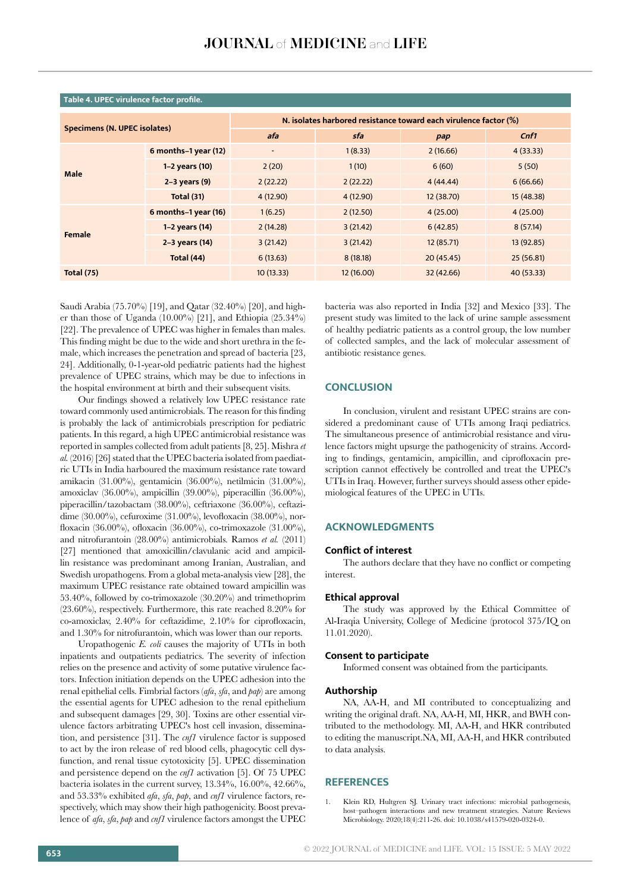| <b>Specimens (N. UPEC isolates)</b> |                      | N. isolates harbored resistance toward each virulence factor (%) |           |            |            |  |  |  |
|-------------------------------------|----------------------|------------------------------------------------------------------|-----------|------------|------------|--|--|--|
|                                     |                      | sfa<br>afa                                                       |           | pap        | Cnf1       |  |  |  |
|                                     | 6 months-1 year (12) | $\bar{~}$                                                        | 1(8.33)   | 2(16.66)   | 4(33.33)   |  |  |  |
| Male                                | 1-2 years (10)       | 2(20)                                                            | 1(10)     | 6(60)      | 5(50)      |  |  |  |
|                                     | $2-3$ years $(9)$    | 2(22.22)                                                         | 2(22.22)  | 4(44.44)   | 6(66.66)   |  |  |  |
|                                     | Total (31)           | 4(12.90)                                                         | 4(12.90)  | 12 (38.70) | 15 (48.38) |  |  |  |
|                                     | 6 months-1 year (16) | 1(6.25)                                                          | 2(12.50)  | 4(25.00)   | 4(25.00)   |  |  |  |
| Female                              | 1-2 years (14)       | 2(14.28)                                                         | 3(21.42)  | 6(42.85)   | 8(57.14)   |  |  |  |
|                                     | 2-3 years (14)       | 3(21.42)                                                         | 3(21.42)  | 12 (85.71) | 13 (92.85) |  |  |  |
|                                     | Total (44)           | 6(13.63)                                                         | 8(18.18)  | 20(45.45)  | 25(56.81)  |  |  |  |
| <b>Total (75)</b>                   |                      | 10(13.33)                                                        | 12(16.00) | 32 (42.66) | 40 (53.33) |  |  |  |

## **Table 4. UPEC virulence factor profile.**

Saudi Arabia (75.70%) [19], and Qatar (32.40%) [20], and higher than those of Uganda  $(10.00\%)$  [21], and Ethiopia  $(25.34\%)$ [22]. The prevalence of UPEC was higher in females than males. This finding might be due to the wide and short urethra in the female, which increases the penetration and spread of bacteria [23, 24]. Additionally, 0-1-year-old pediatric patients had the highest prevalence of UPEC strains, which may be due to infections in the hospital environment at birth and their subsequent visits.

Our findings showed a relatively low UPEC resistance rate toward commonly used antimicrobials. The reason for this finding is probably the lack of antimicrobials prescription for pediatric patients. In this regard, a high UPEC antimicrobial resistance was reported in samples collected from adult patients [8, 25]. Mishra *et al.* (2016) [26] stated that the UPEC bacteria isolated from paediatric UTIs in India harboured the maximum resistance rate toward amikacin (31.00%), gentamicin (36.00%), netilmicin (31.00%), amoxiclav (36.00%), ampicillin (39.00%), piperacillin (36.00%), piperacillin/tazobactam (38.00%), ceftriaxone (36.00%), ceftazidime (30.00%), cefuroxime (31.00%), levofloxacin (38.00%), norfloxacin (36.00%), ofloxacin (36.00%), co-trimoxazole (31.00%), and nitrofurantoin (28.00%) antimicrobials. Ramos *et al.* (2011) [27] mentioned that amoxicillin/clavulanic acid and ampicillin resistance was predominant among Iranian, Australian, and Swedish uropathogens. From a global meta-analysis view [28], the maximum UPEC resistance rate obtained toward ampicillin was 53.40%, followed by co-trimoxazole (30.20%) and trimethoprim (23.60%), respectively. Furthermore, this rate reached 8.20% for co-amoxiclav, 2.40% for ceftazidime, 2.10% for ciprofloxacin, and 1.30% for nitrofurantoin, which was lower than our reports.

Uropathogenic *E. coli* causes the majority of UTIs in both inpatients and outpatients pediatrics. The severity of infection relies on the presence and activity of some putative virulence factors. Infection initiation depends on the UPEC adhesion into the renal epithelial cells. Fimbrial factors (*afa*, *sfa*, and *pap*) are among the essential agents for UPEC adhesion to the renal epithelium and subsequent damages [29, 30]. Toxins are other essential virulence factors arbitrating UPEC's host cell invasion, dissemination, and persistence [31]. The *cnf1* virulence factor is supposed to act by the iron release of red blood cells, phagocytic cell dysfunction, and renal tissue cytotoxicity [5]. UPEC dissemination and persistence depend on the *cnf1* activation [5]. Of 75 UPEC bacteria isolates in the current survey, 13.34%, 16.00%, 42.66%, and 53.33% exhibited *afa*, *sfa*, *pap*, and *cnf1* virulence factors, respectively, which may show their high pathogenicity. Boost prevalence of *afa*, *sfa*, *pap* and *cnf1* virulence factors amongst the UPEC

bacteria was also reported in India [32] and Mexico [33]. The present study was limited to the lack of urine sample assessment of healthy pediatric patients as a control group, the low number of collected samples, and the lack of molecular assessment of antibiotic resistance genes.

# **CONCLUSION**

In conclusion, virulent and resistant UPEC strains are considered a predominant cause of UTIs among Iraqi pediatrics. The simultaneous presence of antimicrobial resistance and virulence factors might upsurge the pathogenicity of strains. According to findings, gentamicin, ampicillin, and ciprofloxacin prescription cannot effectively be controlled and treat the UPEC's UTIs in Iraq. However, further surveys should assess other epidemiological features of the UPEC in UTIs.

# **ACKNOWLEDGMENTS**

#### **Conflict of interest**

The authors declare that they have no conflict or competing interest.

## **Ethical approval**

The study was approved by the Ethical Committee of Al-Iraqia University, College of Medicine (protocol 375/IQ on 11.01.2020).

#### **Consent to participate**

Informed consent was obtained from the participants.

#### **Authorship**

NA, AA-H, and MI contributed to conceptualizing and writing the original draft. NA, AA-H, MI, HKR, and BWH contributed to the methodology. MI, AA-H, and HKR contributed to editing the manuscript.NA, MI, AA-H, and HKR contributed to data analysis.

# **REFERENCES**

Klein RD, Hultgren SJ. Urinary tract infections: microbial pathogenesis, host–pathogen interactions and new treatment strategies. Nature Reviews Microbiology. 2020;18(4):211-26. doi: 10.1038/s41579-020-0324-0.